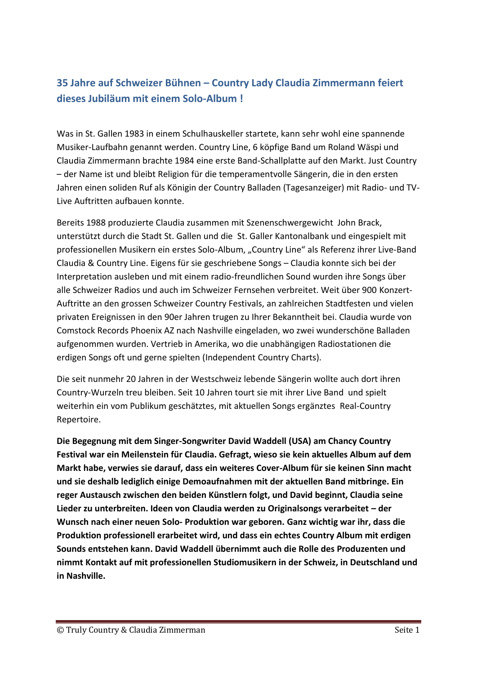## **35 Jahre auf Schweizer Bühnen – Country Lady Claudia Zimmermann feiert dieses Jubiläum mit einem Solo-Album !**

Was in St. Gallen 1983 in einem Schulhauskeller startete, kann sehr wohl eine spannende Musiker-Laufbahn genannt werden. Country Line, 6 köpfige Band um Roland Wäspi und Claudia Zimmermann brachte 1984 eine erste Band-Schallplatte auf den Markt. Just Country – der Name ist und bleibt Religion für die temperamentvolle Sängerin, die in den ersten Jahren einen soliden Ruf als Königin der Country Balladen (Tagesanzeiger) mit Radio- und TV-Live Auftritten aufbauen konnte.

Bereits 1988 produzierte Claudia zusammen mit Szenenschwergewicht John Brack, unterstützt durch die Stadt St. Gallen und die St. Galler Kantonalbank und eingespielt mit professionellen Musikern ein erstes Solo-Album, "Country Line" als Referenz ihrer Live-Band Claudia & Country Line. Eigens für sie geschriebene Songs – Claudia konnte sich bei der Interpretation ausleben und mit einem radio-freundlichen Sound wurden ihre Songs über alle Schweizer Radios und auch im Schweizer Fernsehen verbreitet. Weit über 900 Konzert-Auftritte an den grossen Schweizer Country Festivals, an zahlreichen Stadtfesten und vielen privaten Ereignissen in den 90er Jahren trugen zu Ihrer Bekanntheit bei. Claudia wurde von Comstock Records Phoenix AZ nach Nashville eingeladen, wo zwei wunderschöne Balladen aufgenommen wurden. Vertrieb in Amerika, wo die unabhängigen Radiostationen die erdigen Songs oft und gerne spielten (Independent Country Charts).

Die seit nunmehr 20 Jahren in der Westschweiz lebende Sängerin wollte auch dort ihren Country-Wurzeln treu bleiben. Seit 10 Jahren tourt sie mit ihrer Live Band und spielt weiterhin ein vom Publikum geschätztes, mit aktuellen Songs ergänztes Real-Country Repertoire.

**Die Begegnung mit dem Singer-Songwriter David Waddell (USA) am Chancy Country Festival war ein Meilenstein für Claudia. Gefragt, wieso sie kein aktuelles Album auf dem Markt habe, verwies sie darauf, dass ein weiteres Cover-Album für sie keinen Sinn macht und sie deshalb lediglich einige Demoaufnahmen mit der aktuellen Band mitbringe. Ein reger Austausch zwischen den beiden Künstlern folgt, und David beginnt, Claudia seine Lieder zu unterbreiten. Ideen von Claudia werden zu Originalsongs verarbeitet – der Wunsch nach einer neuen Solo- Produktion war geboren. Ganz wichtig war ihr, dass die Produktion professionell erarbeitet wird, und dass ein echtes Country Album mit erdigen Sounds entstehen kann. David Waddell übernimmt auch die Rolle des Produzenten und nimmt Kontakt auf mit professionellen Studiomusikern in der Schweiz, in Deutschland und in Nashville.**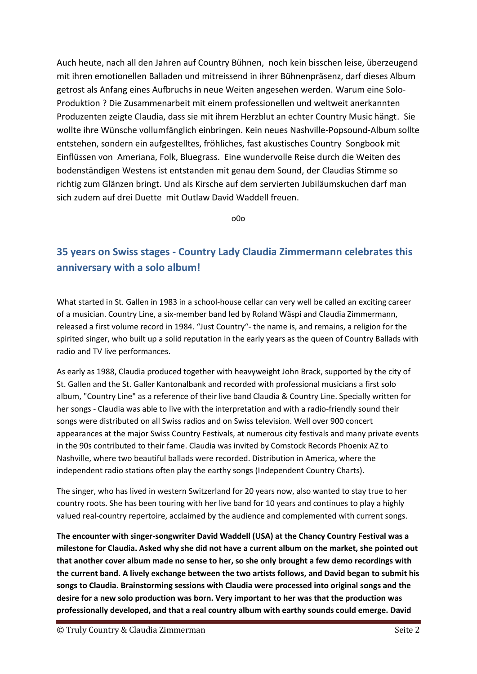Auch heute, nach all den Jahren auf Country Bühnen, noch kein bisschen leise, überzeugend mit ihren emotionellen Balladen und mitreissend in ihrer Bühnenpräsenz, darf dieses Album getrost als Anfang eines Aufbruchs in neue Weiten angesehen werden. Warum eine Solo-Produktion ? Die Zusammenarbeit mit einem professionellen und weltweit anerkannten Produzenten zeigte Claudia, dass sie mit ihrem Herzblut an echter Country Music hängt. Sie wollte ihre Wünsche vollumfänglich einbringen. Kein neues Nashville-Popsound-Album sollte entstehen, sondern ein aufgestelltes, fröhliches, fast akustisches Country Songbook mit Einflüssen von Ameriana, Folk, Bluegrass. Eine wundervolle Reise durch die Weiten des bodenständigen Westens ist entstanden mit genau dem Sound, der Claudias Stimme so richtig zum Glänzen bringt. Und als Kirsche auf dem servierten Jubiläumskuchen darf man sich zudem auf drei Duette mit Outlaw David Waddell freuen.

o0o

## **35 years on Swiss stages - Country Lady Claudia Zimmermann celebrates this anniversary with a solo album!**

What started in St. Gallen in 1983 in a school-house cellar can very well be called an exciting career of a musician. Country Line, a six-member band led by Roland Wäspi and Claudia Zimmermann, released a first volume record in 1984. "Just Country"- the name is, and remains, a religion for the spirited singer, who built up a solid reputation in the early years as the queen of Country Ballads with radio and TV live performances.

As early as 1988, Claudia produced together with heavyweight John Brack, supported by the city of St. Gallen and the St. Galler Kantonalbank and recorded with professional musicians a first solo album, "Country Line" as a reference of their live band Claudia & Country Line. Specially written for her songs - Claudia was able to live with the interpretation and with a radio-friendly sound their songs were distributed on all Swiss radios and on Swiss television. Well over 900 concert appearances at the major Swiss Country Festivals, at numerous city festivals and many private events in the 90s contributed to their fame. Claudia was invited by Comstock Records Phoenix AZ to Nashville, where two beautiful ballads were recorded. Distribution in America, where the independent radio stations often play the earthy songs (Independent Country Charts).

The singer, who has lived in western Switzerland for 20 years now, also wanted to stay true to her country roots. She has been touring with her live band for 10 years and continues to play a highly valued real-country repertoire, acclaimed by the audience and complemented with current songs.

**The encounter with singer-songwriter David Waddell (USA) at the Chancy Country Festival was a milestone for Claudia. Asked why she did not have a current album on the market, she pointed out that another cover album made no sense to her, so she only brought a few demo recordings with the current band. A lively exchange between the two artists follows, and David began to submit his songs to Claudia. Brainstorming sessions with Claudia were processed into original songs and the desire for a new solo production was born. Very important to her was that the production was professionally developed, and that a real country album with earthy sounds could emerge. David**